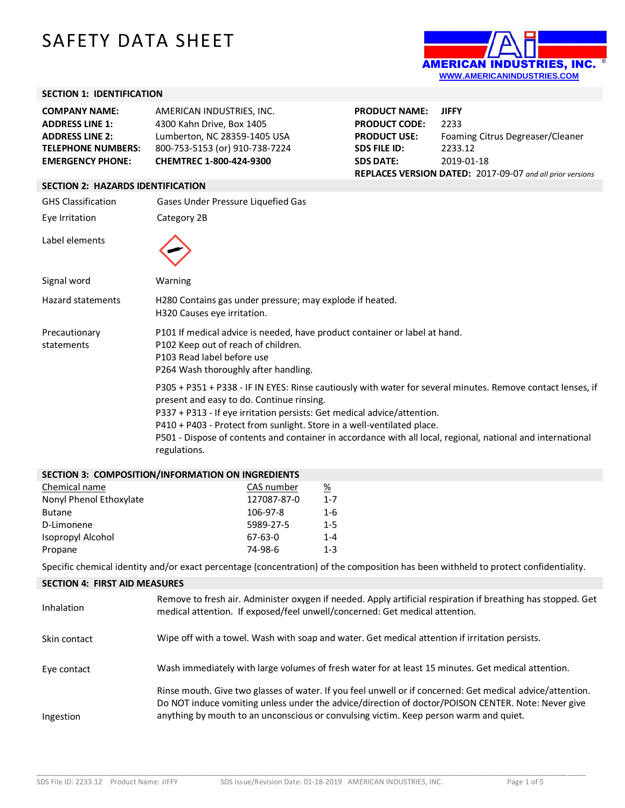# SAFETY DATA SHEET



# **SECTION 1: IDENTIFICATION**

| <b>EMERGENCY PHONE:</b>   | CHEMTREC 1-800-424-9300        | SЕ |
|---------------------------|--------------------------------|----|
| <b>TELEPHONE NUMBERS:</b> | 800-753-5153 (or) 910-738-7224 | SЕ |
| <b>ADDRESS LINE 2:</b>    | Lumberton, NC 28359-1405 USA   | РF |
| <b>ADDRESS LINE 1:</b>    | 4300 Kahn Drive, Box 1405      | РF |
| <b>COMPANY NAME:</b>      | AMERICAN INDUSTRIES, INC.      | РF |

| <b>PRODUCT NAME:</b>                                      | <b>JIFFY</b>                     |  |  |
|-----------------------------------------------------------|----------------------------------|--|--|
| <b>PRODUCT CODE:</b>                                      | 2233                             |  |  |
| <b>PRODUCT USE:</b>                                       | Foaming Citrus Degreaser/Cleaner |  |  |
| <b>SDS FILE ID:</b>                                       | 2233.12                          |  |  |
| <b>SDS DATE:</b>                                          | 2019-01-18                       |  |  |
| REPLACES VERSION DATED: 2017-09-07 and all prior versions |                                  |  |  |

# **SECTION 2: HAZARDS IDENTIFICATION**

| <b>GHS Classification</b>   | Gases Under Pressure Liquefied Gas                                                                                                                                                                                                                                                                                                                                                                                                           |  |  |
|-----------------------------|----------------------------------------------------------------------------------------------------------------------------------------------------------------------------------------------------------------------------------------------------------------------------------------------------------------------------------------------------------------------------------------------------------------------------------------------|--|--|
| Eye Irritation              | Category 2B                                                                                                                                                                                                                                                                                                                                                                                                                                  |  |  |
| Label elements              |                                                                                                                                                                                                                                                                                                                                                                                                                                              |  |  |
| Signal word                 | Warning                                                                                                                                                                                                                                                                                                                                                                                                                                      |  |  |
| Hazard statements           | H280 Contains gas under pressure; may explode if heated.<br>H320 Causes eye irritation.                                                                                                                                                                                                                                                                                                                                                      |  |  |
| Precautionary<br>statements | P101 If medical advice is needed, have product container or label at hand.<br>P102 Keep out of reach of children.<br>P103 Read label before use<br>P264 Wash thoroughly after handling.                                                                                                                                                                                                                                                      |  |  |
|                             | P305 + P351 + P338 - IF IN EYES: Rinse cautiously with water for several minutes. Remove contact lenses, if<br>present and easy to do. Continue rinsing.<br>P337 + P313 - If eye irritation persists: Get medical advice/attention.<br>P410 + P403 - Protect from sunlight. Store in a well-ventilated place.<br>P501 - Dispose of contents and container in accordance with all local, regional, national and international<br>regulations. |  |  |

### **SECTION 3: COMPOSITION/INFORMATION ON INGREDIENTS**

| Chemical name           | CAS number  | %       |
|-------------------------|-------------|---------|
| Nonyl Phenol Ethoxylate | 127087-87-0 | $1 - 7$ |
| <b>Butane</b>           | 106-97-8    | 1-6     |
| D-Limonene              | 5989-27-5   | $1 - 5$ |
| Isopropyl Alcohol       | $67-63-0$   | $1 - 4$ |
| Propane                 | 74-98-6     | $1 - 3$ |

Specific chemical identity and/or exact percentage (concentration) of the composition has been withheld to protect confidentiality.

## **SECTION 4: FIRST AID MEASURES**

| Inhalation   | Remove to fresh air. Administer oxygen if needed. Apply artificial respiration if breathing has stopped. Get<br>medical attention. If exposed/feel unwell/concerned: Get medical attention.                                                                                                              |
|--------------|----------------------------------------------------------------------------------------------------------------------------------------------------------------------------------------------------------------------------------------------------------------------------------------------------------|
| Skin contact | Wipe off with a towel. Wash with soap and water. Get medical attention if irritation persists.                                                                                                                                                                                                           |
| Eye contact  | Wash immediately with large volumes of fresh water for at least 15 minutes. Get medical attention.                                                                                                                                                                                                       |
| Ingestion    | Rinse mouth. Give two glasses of water. If you feel unwell or if concerned: Get medical advice/attention.<br>Do NOT induce vomiting unless under the advice/direction of doctor/POISON CENTER. Note: Never give<br>anything by mouth to an unconscious or convulsing victim. Keep person warm and quiet. |

\_\_\_\_\_\_\_\_\_\_\_\_\_\_\_\_\_\_\_\_\_\_\_\_\_\_\_\_\_\_\_\_\_\_\_\_\_\_\_\_\_\_\_\_\_\_\_\_\_\_\_\_\_\_\_\_\_\_\_\_\_\_\_\_\_\_\_\_\_\_\_\_\_\_\_\_\_\_\_\_\_\_\_\_\_\_\_\_\_\_\_\_\_\_\_\_\_\_\_\_\_\_\_\_\_\_\_\_\_\_\_\_\_\_\_\_\_\_\_\_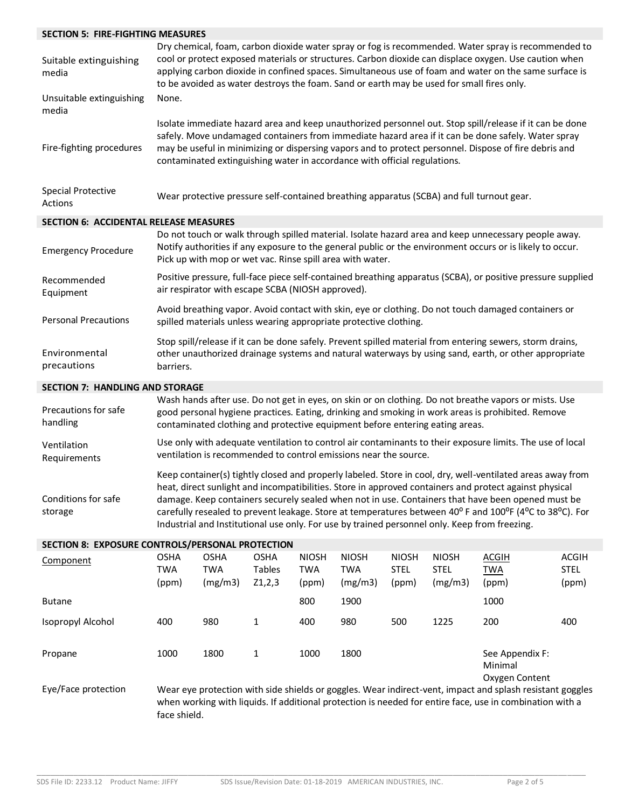| <b>SECTION 5: FIRE-FIGHTING MEASURES</b>      |                                                                                                                                                                                                                                                                                                                                                                                                                    |  |
|-----------------------------------------------|--------------------------------------------------------------------------------------------------------------------------------------------------------------------------------------------------------------------------------------------------------------------------------------------------------------------------------------------------------------------------------------------------------------------|--|
| Suitable extinguishing<br>media               | Dry chemical, foam, carbon dioxide water spray or fog is recommended. Water spray is recommended to<br>cool or protect exposed materials or structures. Carbon dioxide can displace oxygen. Use caution when<br>applying carbon dioxide in confined spaces. Simultaneous use of foam and water on the same surface is<br>to be avoided as water destroys the foam. Sand or earth may be used for small fires only. |  |
| Unsuitable extinguishing<br>media             | None.                                                                                                                                                                                                                                                                                                                                                                                                              |  |
| Fire-fighting procedures                      | Isolate immediate hazard area and keep unauthorized personnel out. Stop spill/release if it can be done<br>safely. Move undamaged containers from immediate hazard area if it can be done safely. Water spray<br>may be useful in minimizing or dispersing vapors and to protect personnel. Dispose of fire debris and<br>contaminated extinguishing water in accordance with official regulations.                |  |
| <b>Special Protective</b><br>Actions          | Wear protective pressure self-contained breathing apparatus (SCBA) and full turnout gear.                                                                                                                                                                                                                                                                                                                          |  |
| <b>SECTION 6: ACCIDENTAL RELEASE MEASURES</b> |                                                                                                                                                                                                                                                                                                                                                                                                                    |  |
| <b>Emergency Procedure</b>                    | Do not touch or walk through spilled material. Isolate hazard area and keep unnecessary people away.<br>Notify authorities if any exposure to the general public or the environment occurs or is likely to occur.<br>Pick up with mop or wet vac. Rinse spill area with water.                                                                                                                                     |  |
| Recommended<br>Equipment                      | Positive pressure, full-face piece self-contained breathing apparatus (SCBA), or positive pressure supplied<br>air respirator with escape SCBA (NIOSH approved).                                                                                                                                                                                                                                                   |  |
| <b>Personal Precautions</b>                   | Avoid breathing vapor. Avoid contact with skin, eye or clothing. Do not touch damaged containers or<br>spilled materials unless wearing appropriate protective clothing.                                                                                                                                                                                                                                           |  |
| Environmental<br>precautions                  | Stop spill/release if it can be done safely. Prevent spilled material from entering sewers, storm drains,<br>other unauthorized drainage systems and natural waterways by using sand, earth, or other appropriate<br>barriers.                                                                                                                                                                                     |  |
| <b>SECTION 7: HANDLING AND STORAGE</b>        |                                                                                                                                                                                                                                                                                                                                                                                                                    |  |
| <b>Precautions for safe</b>                   | Wash hands after use. Do not get in eyes, on skin or on clothing. Do not breathe vapors or mists. Use<br>cood nexcanal busiano prostigas. Enting, dripling and smaling in work areas is probibited. Demoys                                                                                                                                                                                                         |  |

| Precautions for safe<br>handling | Wash hands after use. Do not get in eyes, on skin or on clothing. Do not breathe vapors or mists. Use<br>good personal hygiene practices. Eating, drinking and smoking in work areas is prohibited. Remove<br>contaminated clothing and protective equipment before entering eating areas.                                                                                                                                                                                                                                            |
|----------------------------------|---------------------------------------------------------------------------------------------------------------------------------------------------------------------------------------------------------------------------------------------------------------------------------------------------------------------------------------------------------------------------------------------------------------------------------------------------------------------------------------------------------------------------------------|
| Ventilation<br>Requirements      | Use only with adequate ventilation to control air contaminants to their exposure limits. The use of local<br>ventilation is recommended to control emissions near the source.                                                                                                                                                                                                                                                                                                                                                         |
| Conditions for safe<br>storage   | Keep container(s) tightly closed and properly labeled. Store in cool, dry, well-ventilated areas away from<br>heat, direct sunlight and incompatibilities. Store in approved containers and protect against physical<br>damage. Keep containers securely sealed when not in use. Containers that have been opened must be<br>carefully resealed to prevent leakage. Store at temperatures between 40° F and 100°F (4°C to 38°C). For<br>Industrial and Institutional use only. For use by trained personnel only. Keep from freezing. |

# **SECTION 8: EXPOSURE CONTROLS/PERSONAL PROTECTION**

| Component           | <b>OSHA</b><br><b>TWA</b> | <b>OSHA</b><br><b>TWA</b> | <b>OSHA</b><br><b>Tables</b> | <b>NIOSH</b><br><b>TWA</b> | <b>NIOSH</b><br><b>TWA</b> | <b>NIOSH</b><br><b>STEL</b> | <b>NIOSH</b><br><b>STEL</b> | <b>ACGIH</b><br><b>TWA</b>                                                                                                                                                                                            | <b>ACGIH</b><br><b>STEL</b> |
|---------------------|---------------------------|---------------------------|------------------------------|----------------------------|----------------------------|-----------------------------|-----------------------------|-----------------------------------------------------------------------------------------------------------------------------------------------------------------------------------------------------------------------|-----------------------------|
|                     | (ppm)                     | (mg/m3)                   | Z1,2,3                       | (ppm)                      | (mg/m3)                    | (ppm)                       | (mg/m3)                     | (ppm)                                                                                                                                                                                                                 | (ppm)                       |
| <b>Butane</b>       |                           |                           |                              | 800                        | 1900                       |                             |                             | 1000                                                                                                                                                                                                                  |                             |
| Isopropyl Alcohol   | 400                       | 980                       | 1                            | 400                        | 980                        | 500                         | 1225                        | 200                                                                                                                                                                                                                   | 400                         |
| Propane             | 1000                      | 1800                      | 1                            | 1000                       | 1800                       |                             |                             | See Appendix F:<br>Minimal<br>Oxygen Content                                                                                                                                                                          |                             |
| Eye/Face protection | face shield.              |                           |                              |                            |                            |                             |                             | Wear eye protection with side shields or goggles. Wear indirect-vent, impact and splash resistant goggles<br>when working with liquids. If additional protection is needed for entire face, use in combination with a |                             |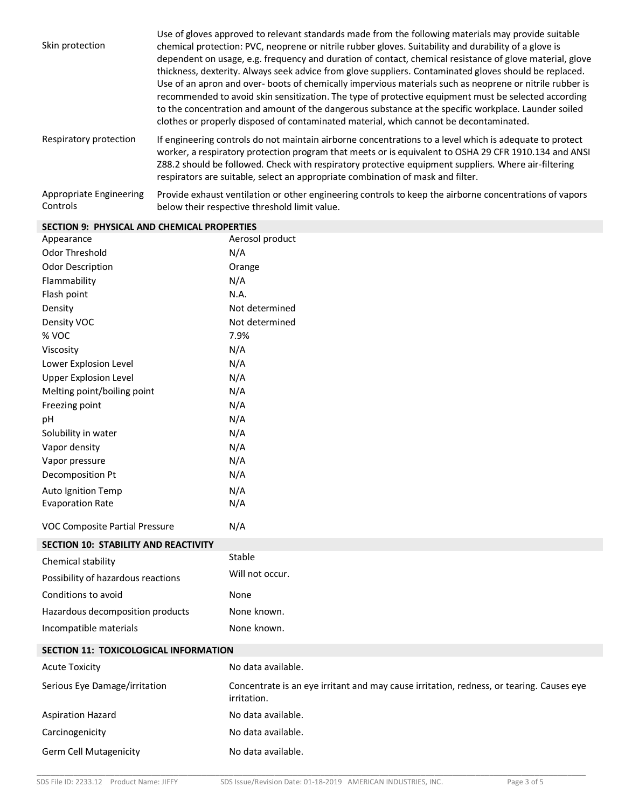| Skin protection                     | Use of gloves approved to relevant standards made from the following materials may provide suitable<br>chemical protection: PVC, neoprene or nitrile rubber gloves. Suitability and durability of a glove is<br>dependent on usage, e.g. frequency and duration of contact, chemical resistance of glove material, glove<br>thickness, dexterity. Always seek advice from glove suppliers. Contaminated gloves should be replaced.<br>Use of an apron and over- boots of chemically impervious materials such as neoprene or nitrile rubber is<br>recommended to avoid skin sensitization. The type of protective equipment must be selected according<br>to the concentration and amount of the dangerous substance at the specific workplace. Launder soiled<br>clothes or properly disposed of contaminated material, which cannot be decontaminated. |
|-------------------------------------|----------------------------------------------------------------------------------------------------------------------------------------------------------------------------------------------------------------------------------------------------------------------------------------------------------------------------------------------------------------------------------------------------------------------------------------------------------------------------------------------------------------------------------------------------------------------------------------------------------------------------------------------------------------------------------------------------------------------------------------------------------------------------------------------------------------------------------------------------------|
| Respiratory protection              | If engineering controls do not maintain airborne concentrations to a level which is adequate to protect<br>worker, a respiratory protection program that meets or is equivalent to OSHA 29 CFR 1910.134 and ANSI<br>Z88.2 should be followed. Check with respiratory protective equipment suppliers. Where air-filtering<br>respirators are suitable, select an appropriate combination of mask and filter.                                                                                                                                                                                                                                                                                                                                                                                                                                              |
| Appropriate Engineering<br>Controls | Provide exhaust ventilation or other engineering controls to keep the airborne concentrations of vapors<br>below their respective threshold limit value.                                                                                                                                                                                                                                                                                                                                                                                                                                                                                                                                                                                                                                                                                                 |

| Appearance                                  | Aerosol product                                                                                         |
|---------------------------------------------|---------------------------------------------------------------------------------------------------------|
| Odor Threshold                              | N/A                                                                                                     |
| <b>Odor Description</b>                     | Orange                                                                                                  |
| Flammability                                | N/A                                                                                                     |
| Flash point                                 | N.A.                                                                                                    |
| Density                                     | Not determined                                                                                          |
| Density VOC                                 | Not determined                                                                                          |
| % VOC                                       | 7.9%                                                                                                    |
| Viscosity                                   | N/A                                                                                                     |
| Lower Explosion Level                       | N/A                                                                                                     |
| <b>Upper Explosion Level</b>                | N/A                                                                                                     |
| Melting point/boiling point                 | N/A                                                                                                     |
| Freezing point                              | N/A                                                                                                     |
| рH                                          | N/A                                                                                                     |
| Solubility in water                         | N/A                                                                                                     |
| Vapor density                               | N/A                                                                                                     |
| Vapor pressure                              | N/A                                                                                                     |
| Decomposition Pt                            | N/A                                                                                                     |
| Auto Ignition Temp                          | N/A                                                                                                     |
| <b>Evaporation Rate</b>                     | N/A                                                                                                     |
| VOC Composite Partial Pressure              | N/A                                                                                                     |
| <b>SECTION 10: STABILITY AND REACTIVITY</b> |                                                                                                         |
| Chemical stability                          | Stable                                                                                                  |
| Possibility of hazardous reactions          | Will not occur.                                                                                         |
| Conditions to avoid                         | None                                                                                                    |
| Hazardous decomposition products            | None known.                                                                                             |
| Incompatible materials                      | None known.                                                                                             |
| SECTION 11: TOXICOLOGICAL INFORMATION       |                                                                                                         |
| <b>Acute Toxicity</b>                       | No data available.                                                                                      |
| Serious Eye Damage/irritation               | Concentrate is an eye irritant and may cause irritation, redness, or tearing. Causes eye<br>irritation. |
| <b>Aspiration Hazard</b>                    | No data available.                                                                                      |
| Carcinogenicity                             | No data available.                                                                                      |
| <b>Germ Cell Mutagenicity</b>               | No data available.                                                                                      |

# **SECTION 9: PHYSICAL AND CHEMICAL PROPERTIES**

\_\_\_\_\_\_\_\_\_\_\_\_\_\_\_\_\_\_\_\_\_\_\_\_\_\_\_\_\_\_\_\_\_\_\_\_\_\_\_\_\_\_\_\_\_\_\_\_\_\_\_\_\_\_\_\_\_\_\_\_\_\_\_\_\_\_\_\_\_\_\_\_\_\_\_\_\_\_\_\_\_\_\_\_\_\_\_\_\_\_\_\_\_\_\_\_\_\_\_\_\_\_\_\_\_\_\_\_\_\_\_\_\_\_\_\_\_\_\_\_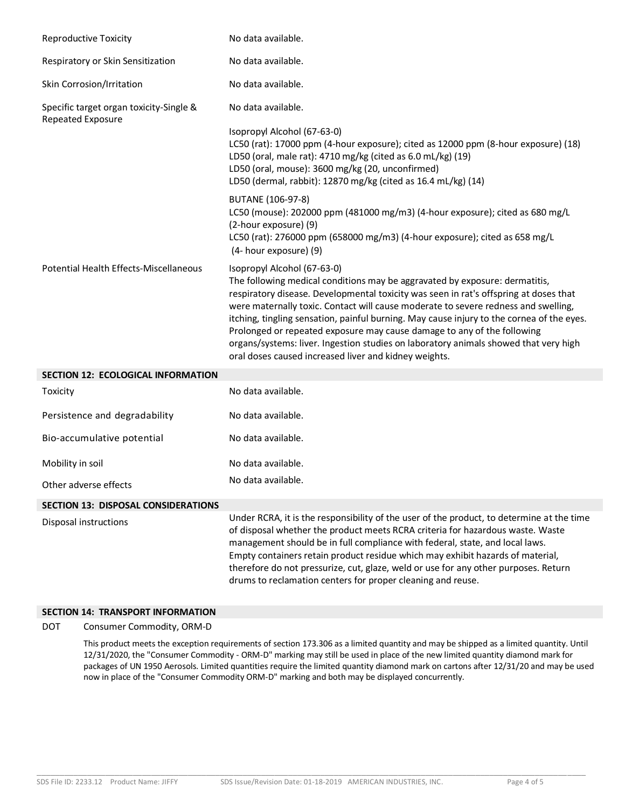| <b>Reproductive Toxicity</b>                                 | No data available.                                                                                                                                                                                                                                                                                                                                                                                                                                                                                                                                                                                                 |
|--------------------------------------------------------------|--------------------------------------------------------------------------------------------------------------------------------------------------------------------------------------------------------------------------------------------------------------------------------------------------------------------------------------------------------------------------------------------------------------------------------------------------------------------------------------------------------------------------------------------------------------------------------------------------------------------|
| Respiratory or Skin Sensitization                            | No data available.                                                                                                                                                                                                                                                                                                                                                                                                                                                                                                                                                                                                 |
| Skin Corrosion/Irritation                                    | No data available.                                                                                                                                                                                                                                                                                                                                                                                                                                                                                                                                                                                                 |
| Specific target organ toxicity-Single &<br>Repeated Exposure | No data available.<br>Isopropyl Alcohol (67-63-0)<br>LC50 (rat): 17000 ppm (4-hour exposure); cited as 12000 ppm (8-hour exposure) (18)<br>LD50 (oral, male rat): 4710 mg/kg (cited as 6.0 mL/kg) (19)<br>LD50 (oral, mouse): 3600 mg/kg (20, unconfirmed)<br>LD50 (dermal, rabbit): 12870 mg/kg (cited as 16.4 mL/kg) (14)                                                                                                                                                                                                                                                                                        |
|                                                              | BUTANE (106-97-8)<br>LC50 (mouse): 202000 ppm (481000 mg/m3) (4-hour exposure); cited as 680 mg/L<br>(2-hour exposure) (9)<br>LC50 (rat): 276000 ppm (658000 mg/m3) (4-hour exposure); cited as 658 mg/L<br>(4- hour exposure) (9)                                                                                                                                                                                                                                                                                                                                                                                 |
| Potential Health Effects-Miscellaneous                       | Isopropyl Alcohol (67-63-0)<br>The following medical conditions may be aggravated by exposure: dermatitis,<br>respiratory disease. Developmental toxicity was seen in rat's offspring at doses that<br>were maternally toxic. Contact will cause moderate to severe redness and swelling,<br>itching, tingling sensation, painful burning. May cause injury to the cornea of the eyes.<br>Prolonged or repeated exposure may cause damage to any of the following<br>organs/systems: liver. Ingestion studies on laboratory animals showed that very high<br>oral doses caused increased liver and kidney weights. |
| <b>SECTION 12: ECOLOGICAL INFORMATION</b>                    |                                                                                                                                                                                                                                                                                                                                                                                                                                                                                                                                                                                                                    |
| Toxicity                                                     | No data available.                                                                                                                                                                                                                                                                                                                                                                                                                                                                                                                                                                                                 |
| Persistence and degradability                                | No data available.                                                                                                                                                                                                                                                                                                                                                                                                                                                                                                                                                                                                 |
| Bio-accumulative potential                                   | No data available.                                                                                                                                                                                                                                                                                                                                                                                                                                                                                                                                                                                                 |

Mobility in soil and Mobility in soil

Other adverse effects No data available.

# **SECTION 13: DISPOSAL CONSIDERATIONS**

Disposal instructions Under RCRA, it is the responsibility of the user of the product, to determine at the time of disposal whether the product meets RCRA criteria for hazardous waste. Waste management should be in full compliance with federal, state, and local laws. Empty containers retain product residue which may exhibit hazards of material, therefore do not pressurize, cut, glaze, weld or use for any other purposes. Return drums to reclamation centers for proper cleaning and reuse.

# **SECTION 14: TRANSPORT INFORMATION**

DOT Consumer Commodity, ORM-D

This product meets the exception requirements of section 173.306 as a limited quantity and may be shipped as a limited quantity. Until 12/31/2020, the "Consumer Commodity - ORM-D" marking may still be used in place of the new limited quantity diamond mark for packages of UN 1950 Aerosols. Limited quantities require the limited quantity diamond mark on cartons after 12/31/20 and may be used now in place of the "Consumer Commodity ORM-D" marking and both may be displayed concurrently.